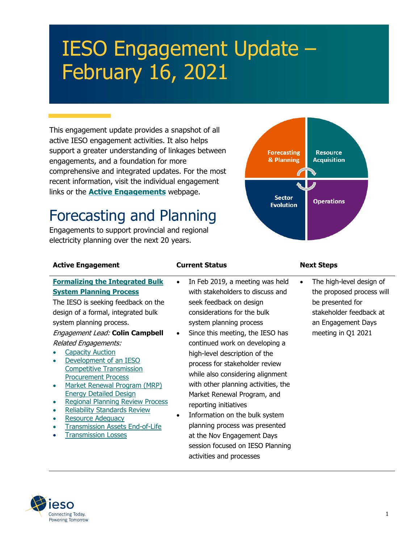# IESO Engagement Update – February 16, 2021

This engagement update provides a snapshot of all active IESO engagement activities. It also helps support a greater understanding of linkages between engagements, and a foundation for more comprehensive and integrated updates. For the most recent information, visit the individual engagement links or the **[Active Engagements](https://www.ieso.ca/en/Sector-Participants/Engagement-Initiatives/Engagements/Engagements-Status)** webpage.

## Forecasting and Planning

Engagements to support provincial and regional electricity planning over the next 20 years.



| <b>Active Engagement</b>                                                                                                                                                                                                                                                                                                                                                                                                                                                                                                                                                                                                          | <b>Current Status</b>                                                                                                                                                                                                                                                                                                                                                                                                                                                                                                                                                                                                                         | <b>Next Steps</b>                                                                                                                                |
|-----------------------------------------------------------------------------------------------------------------------------------------------------------------------------------------------------------------------------------------------------------------------------------------------------------------------------------------------------------------------------------------------------------------------------------------------------------------------------------------------------------------------------------------------------------------------------------------------------------------------------------|-----------------------------------------------------------------------------------------------------------------------------------------------------------------------------------------------------------------------------------------------------------------------------------------------------------------------------------------------------------------------------------------------------------------------------------------------------------------------------------------------------------------------------------------------------------------------------------------------------------------------------------------------|--------------------------------------------------------------------------------------------------------------------------------------------------|
| <b>Formalizing the Integrated Bulk</b><br><b>System Planning Process</b><br>The IESO is seeking feedback on the<br>design of a formal, integrated bulk<br>system planning process.<br>Engagement Lead: Colin Campbell<br><b>Related Engagements:</b><br><b>Capacity Auction</b><br>Development of an IESO<br><b>Competitive Transmission</b><br><b>Procurement Process</b><br>Market Renewal Program (MRP)<br><b>Energy Detailed Design</b><br><b>Regional Planning Review Process</b><br><b>Reliability Standards Review</b><br><b>Resource Adequacy</b><br><b>Transmission Assets End-of-Life</b><br><b>Transmission Losses</b> | In Feb 2019, a meeting was held<br>$\bullet$<br>with stakeholders to discuss and<br>seek feedback on design<br>considerations for the bulk<br>system planning process<br>Since this meeting, the IESO has<br>$\bullet$<br>continued work on developing a<br>high-level description of the<br>process for stakeholder review<br>while also considering alignment<br>with other planning activities, the<br>Market Renewal Program, and<br>reporting initiatives<br>Information on the bulk system<br>$\bullet$<br>planning process was presented<br>at the Nov Engagement Days<br>session focused on IESO Planning<br>activities and processes | The high-level design of<br>the proposed process will<br>be presented for<br>stakeholder feedback at<br>an Engagement Days<br>meeting in Q1 2021 |

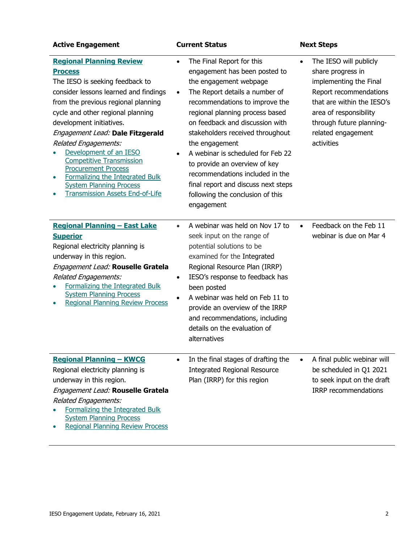| <b>Active Engagement</b>                                                                                                                                                                                                                                                                                                                                                                                                                                                                                           | <b>Current Status</b>                                                                                                                                                                                                                                                                                                                                                                                                                                                                                            | <b>Next Steps</b>                                                                                                                                                                                                                    |
|--------------------------------------------------------------------------------------------------------------------------------------------------------------------------------------------------------------------------------------------------------------------------------------------------------------------------------------------------------------------------------------------------------------------------------------------------------------------------------------------------------------------|------------------------------------------------------------------------------------------------------------------------------------------------------------------------------------------------------------------------------------------------------------------------------------------------------------------------------------------------------------------------------------------------------------------------------------------------------------------------------------------------------------------|--------------------------------------------------------------------------------------------------------------------------------------------------------------------------------------------------------------------------------------|
| <b>Regional Planning Review</b><br><b>Process</b><br>The IESO is seeking feedback to<br>consider lessons learned and findings<br>from the previous regional planning<br>cycle and other regional planning<br>development initiatives.<br>Engagement Lead: Dale Fitzgerald<br><b>Related Engagements:</b><br>Development of an IESO<br><b>Competitive Transmission</b><br><b>Procurement Process</b><br>Formalizing the Integrated Bulk<br><b>System Planning Process</b><br><b>Transmission Assets End-of-Life</b> | The Final Report for this<br>$\bullet$<br>engagement has been posted to<br>the engagement webpage<br>The Report details a number of<br>$\bullet$<br>recommendations to improve the<br>regional planning process based<br>on feedback and discussion with<br>stakeholders received throughout<br>the engagement<br>A webinar is scheduled for Feb 22<br>to provide an overview of key<br>recommendations included in the<br>final report and discuss next steps<br>following the conclusion of this<br>engagement | The IESO will publicly<br>$\bullet$<br>share progress in<br>implementing the Final<br>Report recommendations<br>that are within the IESO's<br>area of responsibility<br>through future planning-<br>related engagement<br>activities |
| <b>Regional Planning - East Lake</b><br><b>Superior</b><br>Regional electricity planning is<br>underway in this region.<br>Engagement Lead: Rouselle Gratela<br><b>Related Engagements:</b><br>Formalizing the Integrated Bulk<br><b>System Planning Process</b><br><b>Regional Planning Review Process</b>                                                                                                                                                                                                        | A webinar was held on Nov 17 to<br>$\bullet$<br>seek input on the range of<br>potential solutions to be<br>examined for the Integrated<br>Regional Resource Plan (IRRP)<br>IESO's response to feedback has<br>$\bullet$<br>been posted<br>A webinar was held on Feb 11 to<br>provide an overview of the IRRP<br>and recommendations, including<br>details on the evaluation of<br>alternatives                                                                                                                   | Feedback on the Feb 11<br>$\bullet$<br>webinar is due on Mar 4                                                                                                                                                                       |
| <b>Regional Planning - KWCG</b><br>Regional electricity planning is<br>underway in this region.<br>Engagement Lead: Rouselle Gratela<br><b>Related Engagements:</b><br>Formalizing the Integrated Bulk<br><b>System Planning Process</b><br><b>Regional Planning Review Process</b>                                                                                                                                                                                                                                | In the final stages of drafting the<br><b>Integrated Regional Resource</b><br>Plan (IRRP) for this region                                                                                                                                                                                                                                                                                                                                                                                                        | A final public webinar will<br>be scheduled in Q1 2021<br>to seek input on the draft<br><b>IRRP</b> recommendations                                                                                                                  |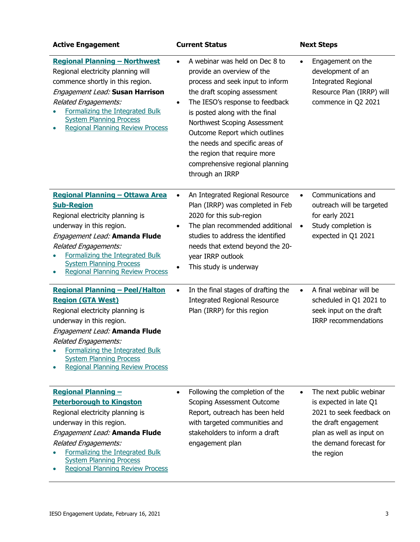| <b>Active Engagement</b>                                                                                                                                                                                                                                                                                    | <b>Current Status</b>                                                                                                                                                                                                                                                                                                                                                                                                     | <b>Next Steps</b>                                                                                                                                                                       |
|-------------------------------------------------------------------------------------------------------------------------------------------------------------------------------------------------------------------------------------------------------------------------------------------------------------|---------------------------------------------------------------------------------------------------------------------------------------------------------------------------------------------------------------------------------------------------------------------------------------------------------------------------------------------------------------------------------------------------------------------------|-----------------------------------------------------------------------------------------------------------------------------------------------------------------------------------------|
| <b>Regional Planning - Northwest</b><br>Regional electricity planning will<br>commence shortly in this region.<br>Engagement Lead: Susan Harrison<br>Related Engagements:<br>Formalizing the Integrated Bulk<br><b>System Planning Process</b><br><b>Regional Planning Review Process</b>                   | A webinar was held on Dec 8 to<br>$\bullet$<br>provide an overview of the<br>process and seek input to inform<br>the draft scoping assessment<br>The IESO's response to feedback<br>$\bullet$<br>is posted along with the final<br>Northwest Scoping Assessment<br>Outcome Report which outlines<br>the needs and specific areas of<br>the region that require more<br>comprehensive regional planning<br>through an IRRP | Engagement on the<br>$\bullet$<br>development of an<br><b>Integrated Regional</b><br>Resource Plan (IRRP) will<br>commence in Q2 2021                                                   |
| Regional Planning - Ottawa Area<br><b>Sub-Region</b><br>Regional electricity planning is<br>underway in this region.<br>Engagement Lead: Amanda Flude<br>Related Engagements:<br>Formalizing the Integrated Bulk<br><b>System Planning Process</b><br><b>Regional Planning Review Process</b>               | An Integrated Regional Resource<br>Plan (IRRP) was completed in Feb<br>2020 for this sub-region<br>The plan recommended additional<br>$\bullet$<br>studies to address the identified<br>needs that extend beyond the 20-<br>year IRRP outlook<br>This study is underway                                                                                                                                                   | Communications and<br>$\bullet$<br>outreach will be targeted<br>for early 2021<br>Study completion is<br>$\bullet$<br>expected in Q1 2021                                               |
| <b>Regional Planning - Peel/Halton</b><br><b>Region (GTA West)</b><br>Regional electricity planning is<br>underway in this region.<br>Engagement Lead: Amanda Flude<br>Related Engagements:<br>Formalizing the Integrated Bulk<br><b>System Planning Process</b><br><b>Regional Planning Review Process</b> | In the final stages of drafting the<br>$\bullet$<br><b>Integrated Regional Resource</b><br>Plan (IRRP) for this region                                                                                                                                                                                                                                                                                                    | A final webinar will be<br>$\bullet$<br>scheduled in Q1 2021 to<br>seek input on the draft<br><b>IRRP</b> recommendations                                                               |
| <b>Regional Planning -</b><br><b>Peterborough to Kingston</b><br>Regional electricity planning is<br>underway in this region.<br>Engagement Lead: Amanda Flude<br>Related Engagements:<br>Formalizing the Integrated Bulk<br><b>System Planning Process</b><br><b>Regional Planning Review Process</b>      | Following the completion of the<br>Scoping Assessment Outcome<br>Report, outreach has been held<br>with targeted communities and<br>stakeholders to inform a draft<br>engagement plan                                                                                                                                                                                                                                     | The next public webinar<br>$\bullet$<br>is expected in late Q1<br>2021 to seek feedback on<br>the draft engagement<br>plan as well as input on<br>the demand forecast for<br>the region |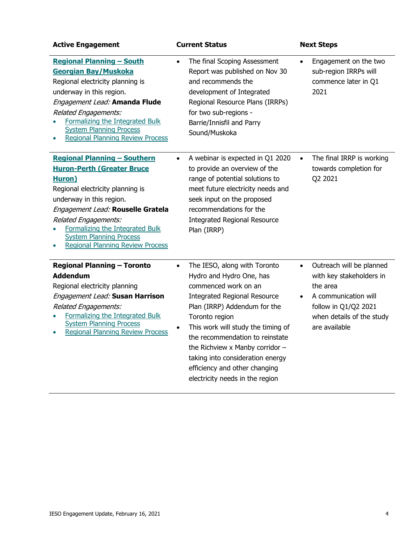| <b>Active Engagement</b>                                                                                                                                                                                                                                                                                                                | <b>Current Status</b>                                                                                                                                                                                                                                                                                                                                                                                                   | <b>Next Steps</b>                                                                                                                                                           |
|-----------------------------------------------------------------------------------------------------------------------------------------------------------------------------------------------------------------------------------------------------------------------------------------------------------------------------------------|-------------------------------------------------------------------------------------------------------------------------------------------------------------------------------------------------------------------------------------------------------------------------------------------------------------------------------------------------------------------------------------------------------------------------|-----------------------------------------------------------------------------------------------------------------------------------------------------------------------------|
| <b>Regional Planning - South</b><br>Georgian Bay/Muskoka<br>Regional electricity planning is<br>underway in this region.<br>Engagement Lead: Amanda Flude<br>Related Engagements:<br>Formalizing the Integrated Bulk<br><b>System Planning Process</b><br><b>Regional Planning Review Process</b>                                       | The final Scoping Assessment<br>$\bullet$<br>Report was published on Nov 30<br>and recommends the<br>development of Integrated<br>Regional Resource Plans (IRRPs)<br>for two sub-regions -<br>Barrie/Innisfil and Parry<br>Sound/Muskoka                                                                                                                                                                                | Engagement on the two<br>$\bullet$<br>sub-region IRRPs will<br>commence later in Q1<br>2021                                                                                 |
| <b>Regional Planning - Southern</b><br><b>Huron-Perth (Greater Bruce</b><br><b>Huron</b> )<br>Regional electricity planning is<br>underway in this region.<br>Engagement Lead: Rouselle Gratela<br>Related Engagements:<br>Formalizing the Integrated Bulk<br><b>System Planning Process</b><br><b>Regional Planning Review Process</b> | A webinar is expected in Q1 2020<br>$\bullet$<br>to provide an overview of the<br>range of potential solutions to<br>meet future electricity needs and<br>seek input on the proposed<br>recommendations for the<br><b>Integrated Regional Resource</b><br>Plan (IRRP)                                                                                                                                                   | The final IRRP is working<br>$\bullet$<br>towards completion for<br>Q2 2021                                                                                                 |
| <b>Regional Planning - Toronto</b><br><b>Addendum</b><br>Regional electricity planning<br>Engagement Lead: Susan Harrison<br><b>Related Engagements:</b><br>Formalizing the Integrated Bulk<br><b>System Planning Process</b><br><b>Regional Planning Review Process</b>                                                                | The IESO, along with Toronto<br>$\bullet$<br>Hydro and Hydro One, has<br>commenced work on an<br><b>Integrated Regional Resource</b><br>Plan (IRRP) Addendum for the<br>Toronto region<br>This work will study the timing of<br>$\bullet$<br>the recommendation to reinstate<br>the Richview x Manby corridor -<br>taking into consideration energy<br>efficiency and other changing<br>electricity needs in the region | Outreach will be planned<br>$\bullet$<br>with key stakeholders in<br>the area<br>A communication will<br>follow in Q1/Q2 2021<br>when details of the study<br>are available |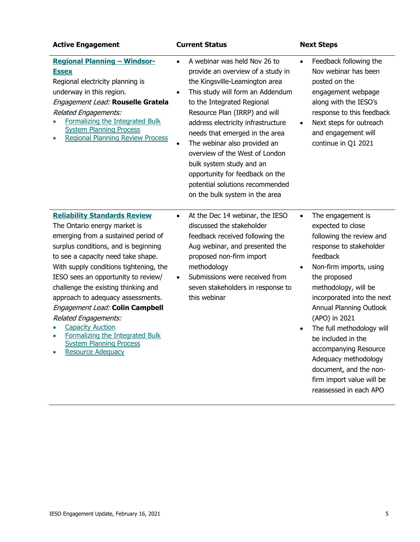| <b>Active Engagement</b>                                                                                                                                                                                                                                                                                                                                                                                                                                                                                                                     | <b>Current Status</b>                                                                                                                                                                                                                                                                                                                                                                                                                                                                                          | <b>Next Steps</b>                                                                                                                                                                                                                                                                                                                                                                                                                                                     |
|----------------------------------------------------------------------------------------------------------------------------------------------------------------------------------------------------------------------------------------------------------------------------------------------------------------------------------------------------------------------------------------------------------------------------------------------------------------------------------------------------------------------------------------------|----------------------------------------------------------------------------------------------------------------------------------------------------------------------------------------------------------------------------------------------------------------------------------------------------------------------------------------------------------------------------------------------------------------------------------------------------------------------------------------------------------------|-----------------------------------------------------------------------------------------------------------------------------------------------------------------------------------------------------------------------------------------------------------------------------------------------------------------------------------------------------------------------------------------------------------------------------------------------------------------------|
| <b>Regional Planning - Windsor-</b><br><b>Essex</b><br>Regional electricity planning is<br>underway in this region.<br>Engagement Lead: Rouselle Gratela<br><b>Related Engagements:</b><br>Formalizing the Integrated Bulk<br><b>System Planning Process</b><br><b>Regional Planning Review Process</b>                                                                                                                                                                                                                                      | A webinar was held Nov 26 to<br>$\bullet$<br>provide an overview of a study in<br>the Kingsville-Leamington area<br>This study will form an Addendum<br>$\bullet$<br>to the Integrated Regional<br>Resource Plan (IRRP) and will<br>address electricity infrastructure<br>needs that emerged in the area<br>The webinar also provided an<br>overview of the West of London<br>bulk system study and an<br>opportunity for feedback on the<br>potential solutions recommended<br>on the bulk system in the area | Feedback following the<br>$\bullet$<br>Nov webinar has been<br>posted on the<br>engagement webpage<br>along with the IESO's<br>response to this feedback<br>Next steps for outreach<br>$\bullet$<br>and engagement will<br>continue in Q1 2021                                                                                                                                                                                                                        |
| <b>Reliability Standards Review</b><br>The Ontario energy market is<br>emerging from a sustained period of<br>surplus conditions, and is beginning<br>to see a capacity need take shape.<br>With supply conditions tightening, the<br>IESO sees an opportunity to review/<br>challenge the existing thinking and<br>approach to adequacy assessments.<br>Engagement Lead: Colin Campbell<br><b>Related Engagements:</b><br><b>Capacity Auction</b><br>Formalizing the Integrated Bulk<br><b>System Planning Process</b><br>Resource Adequacy | At the Dec 14 webinar, the IESO<br>$\bullet$<br>discussed the stakeholder<br>feedback received following the<br>Aug webinar, and presented the<br>proposed non-firm import<br>methodology<br>Submissions were received from<br>seven stakeholders in response to<br>this webinar                                                                                                                                                                                                                               | The engagement is<br>$\bullet$<br>expected to close<br>following the review and<br>response to stakeholder<br>feedback<br>Non-firm imports, using<br>$\bullet$<br>the proposed<br>methodology, will be<br>incorporated into the next<br>Annual Planning Outlook<br>(APO) in 2021<br>The full methodology will<br>be included in the<br>accompanying Resource<br>Adequacy methodology<br>document, and the non-<br>firm import value will be<br>reassessed in each APO |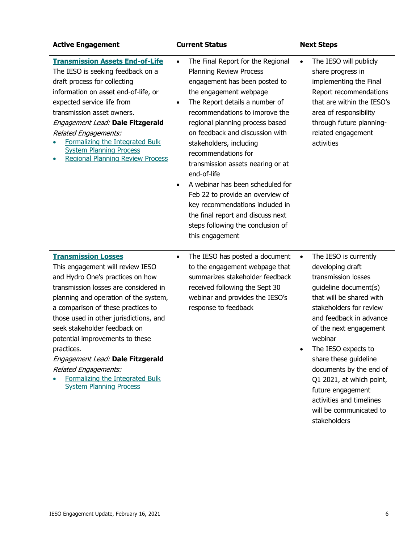| <b>Active Engagement</b>                                                                                                                                                                                                                                                                                                                                                                                                                                                                      | <b>Current Status</b>                                                                                                                                                                                                                                                                                                                                                                                                                                                                                                                                                                                                  | <b>Next Steps</b>                                                                                                                                                                                                                                                                                                                                                                                                                |
|-----------------------------------------------------------------------------------------------------------------------------------------------------------------------------------------------------------------------------------------------------------------------------------------------------------------------------------------------------------------------------------------------------------------------------------------------------------------------------------------------|------------------------------------------------------------------------------------------------------------------------------------------------------------------------------------------------------------------------------------------------------------------------------------------------------------------------------------------------------------------------------------------------------------------------------------------------------------------------------------------------------------------------------------------------------------------------------------------------------------------------|----------------------------------------------------------------------------------------------------------------------------------------------------------------------------------------------------------------------------------------------------------------------------------------------------------------------------------------------------------------------------------------------------------------------------------|
| <b>Transmission Assets End-of-Life</b><br>The IESO is seeking feedback on a<br>draft process for collecting<br>information on asset end-of-life, or<br>expected service life from<br>transmission asset owners.<br>Engagement Lead: Dale Fitzgerald<br><b>Related Engagements:</b><br>Formalizing the Integrated Bulk<br><b>System Planning Process</b><br><b>Regional Planning Review Process</b>                                                                                            | The Final Report for the Regional<br>$\bullet$<br>Planning Review Process<br>engagement has been posted to<br>the engagement webpage<br>The Report details a number of<br>$\bullet$<br>recommendations to improve the<br>regional planning process based<br>on feedback and discussion with<br>stakeholders, including<br>recommendations for<br>transmission assets nearing or at<br>end-of-life<br>A webinar has been scheduled for<br>$\bullet$<br>Feb 22 to provide an overview of<br>key recommendations included in<br>the final report and discuss next<br>steps following the conclusion of<br>this engagement | The IESO will publicly<br>$\bullet$<br>share progress in<br>implementing the Final<br>Report recommendations<br>that are within the IESO's<br>area of responsibility<br>through future planning-<br>related engagement<br>activities                                                                                                                                                                                             |
| <b>Transmission Losses</b><br>This engagement will review IESO<br>and Hydro One's practices on how<br>transmission losses are considered in<br>planning and operation of the system,<br>a comparison of these practices to<br>those used in other jurisdictions, and<br>seek stakeholder feedback on<br>potential improvements to these<br>practices.<br>Engagement Lead: Dale Fitzgerald<br><b>Related Engagements:</b><br>Formalizing the Integrated Bulk<br><b>System Planning Process</b> | The IESO has posted a document<br>$\bullet$<br>to the engagement webpage that<br>summarizes stakeholder feedback<br>received following the Sept 30<br>webinar and provides the IESO's<br>response to feedback                                                                                                                                                                                                                                                                                                                                                                                                          | The IESO is currently<br>$\bullet$<br>developing draft<br>transmission losses<br>guideline document(s)<br>that will be shared with<br>stakeholders for review<br>and feedback in advance<br>of the next engagement<br>webinar<br>The IESO expects to<br>share these guideline<br>documents by the end of<br>Q1 2021, at which point,<br>future engagement<br>activities and timelines<br>will be communicated to<br>stakeholders |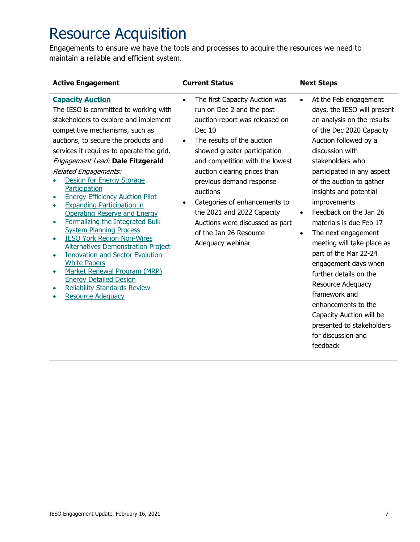## Resource Acquisition

Engagements to ensure we have the tools and processes to acquire the resources we need to maintain a reliable and efficient system.

| <b>Active Engagement</b>                                                                                                                                                                                                                                                                                                                                                                                                                                                                                                                                                                                                                                                                                                                                                                                                                                               | <b>Current Status</b>                                                                                                                                                                                                                                                                                                                                                                                                                                | <b>Next Steps</b>                                                                                                                                                                                                                                                                                                                                                                                                                                                                                                                                                                                                                                                             |
|------------------------------------------------------------------------------------------------------------------------------------------------------------------------------------------------------------------------------------------------------------------------------------------------------------------------------------------------------------------------------------------------------------------------------------------------------------------------------------------------------------------------------------------------------------------------------------------------------------------------------------------------------------------------------------------------------------------------------------------------------------------------------------------------------------------------------------------------------------------------|------------------------------------------------------------------------------------------------------------------------------------------------------------------------------------------------------------------------------------------------------------------------------------------------------------------------------------------------------------------------------------------------------------------------------------------------------|-------------------------------------------------------------------------------------------------------------------------------------------------------------------------------------------------------------------------------------------------------------------------------------------------------------------------------------------------------------------------------------------------------------------------------------------------------------------------------------------------------------------------------------------------------------------------------------------------------------------------------------------------------------------------------|
| <b>Capacity Auction</b><br>The IESO is committed to working with<br>stakeholders to explore and implement<br>competitive mechanisms, such as<br>auctions, to secure the products and<br>services it requires to operate the grid.<br>Engagement Lead: Dale Fitzgerald<br><b>Related Engagements:</b><br>Design for Energy Storage<br>Participation<br><b>Energy Efficiency Auction Pilot</b><br><b>Expanding Participation in</b><br>۰<br><b>Operating Reserve and Energy</b><br>Formalizing the Integrated Bulk<br>$\bullet$<br><b>System Planning Process</b><br><b>IESO York Region Non-Wires</b><br>۰<br><b>Alternatives Demonstration Project</b><br><b>Innovation and Sector Evolution</b><br>٠<br><b>White Papers</b><br>Market Renewal Program (MRP)<br>$\bullet$<br><b>Energy Detailed Design</b><br><b>Reliability Standards Review</b><br>Resource Adequacy | The first Capacity Auction was<br>$\bullet$<br>run on Dec 2 and the post<br>auction report was released on<br><b>Dec 10</b><br>The results of the auction<br>showed greater participation<br>and competition with the lowest<br>auction clearing prices than<br>previous demand response<br>auctions<br>Categories of enhancements to<br>the 2021 and 2022 Capacity<br>Auctions were discussed as part<br>of the Jan 26 Resource<br>Adequacy webinar | At the Feb engagement<br>$\bullet$<br>days, the IESO will present<br>an analysis on the results<br>of the Dec 2020 Capacity<br>Auction followed by a<br>discussion with<br>stakeholders who<br>participated in any aspect<br>of the auction to gather<br>insights and potential<br>improvements<br>Feedback on the Jan 26<br>$\bullet$<br>materials is due Feb 17<br>The next engagement<br>$\bullet$<br>meeting will take place as<br>part of the Mar 22-24<br>engagement days when<br>further details on the<br><b>Resource Adequacy</b><br>framework and<br>enhancements to the<br>Capacity Auction will be<br>presented to stakeholders<br>for discussion and<br>feedback |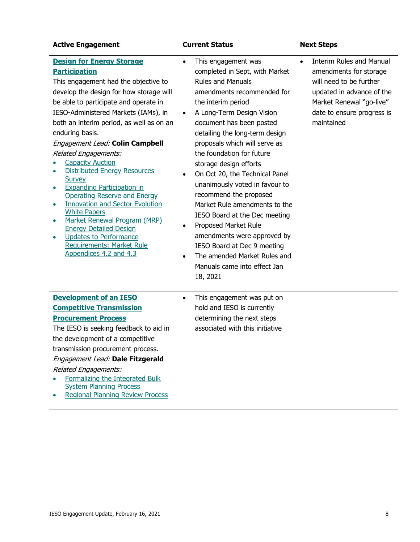#### **Active Engagement Current Status Next Steps**

- **[Design for Energy Storage](http://www.ieso.ca/Sector-Participants/Engagement-Initiatives/Engagements/Energy-Storage-Advisory-Group)  [Participation](http://www.ieso.ca/Sector-Participants/Engagement-Initiatives/Engagements/Energy-Storage-Advisory-Group)** This engagement had the objective to develop the design for how storage will be able to participate and operate in IESO‐Administered Markets (IAMs), in both an interim period, as well as on an enduring basis. Engagement Lead: **Colin Campbell** Related Engagements: **[Capacity Auction](http://www.ieso.ca/Sector-Participants/Engagement-Initiatives/Engagements/Capacity-Auction) Distributed Energy Resources [Survey](http://www.ieso.ca/Sector-Participants/Engagement-Initiatives/Engagements/Distributed-Energy-Resources-Survey)** • [Expanding Participation in](http://www.ieso.ca/Sector-Participants/Engagement-Initiatives/Engagements/Expanding-Participation-in-Operating-Reserve-and-Energy)  [Operating Reserve and Energy](http://www.ieso.ca/Sector-Participants/Engagement-Initiatives/Engagements/Expanding-Participation-in-Operating-Reserve-and-Energy) the interim period
- [Innovation and Sector Evolution](http://www.ieso.ca/Sector-Participants/Engagement-Initiatives/Engagements/Innovation-and-Sector-Evolution-White-Paper-Series)  [White Papers](http://www.ieso.ca/Sector-Participants/Engagement-Initiatives/Engagements/Innovation-and-Sector-Evolution-White-Paper-Series)
- [Market Renewal Program \(MRP\)](http://www.ieso.ca/Market-Renewal/Stakeholder-Engagements/Energy-Detailed-Design-Engagement)  [Energy Detailed Design](http://www.ieso.ca/Market-Renewal/Stakeholder-Engagements/Energy-Detailed-Design-Engagement)
- Updates to Performance [Requirements: Market Rule](http://www.ieso.ca/Sector-Participants/Engagement-Initiatives/Engagements/Updates-to-Performance-Requirements-Market-Rule-Appendices-4-2-and-4-3)  [Appendices 4.2 and 4.3](http://www.ieso.ca/Sector-Participants/Engagement-Initiatives/Engagements/Updates-to-Performance-Requirements-Market-Rule-Appendices-4-2-and-4-3)
- This engagement was completed in Sept, with Market Rules and Manuals amendments recommended for
- A Long-Term Design Vision document has been posted detailing the long-term design proposals which will serve as the foundation for future storage design efforts
- On Oct 20, the Technical Panel unanimously voted in favour to recommend the proposed Market Rule amendments to the IESO Board at the Dec meeting
- Proposed Market Rule amendments were approved by IESO Board at Dec 9 meeting
- The amended Market Rules and Manuals came into effect Jan 18, 2021

• Interim Rules and Manual amendments for storage will need to be further updated in advance of the Market Renewal "go-live" date to ensure progress is maintained

### **[Development of an IESO](http://www.ieso.ca/Sector-Participants/Engagement-Initiatives/Engagements/Development-of-an-IESO-Competitive-Transmission-Procurement-Process)  [Competitive Transmission](http://www.ieso.ca/Sector-Participants/Engagement-Initiatives/Engagements/Development-of-an-IESO-Competitive-Transmission-Procurement-Process)**

### **[Procurement Process](http://www.ieso.ca/Sector-Participants/Engagement-Initiatives/Engagements/Development-of-an-IESO-Competitive-Transmission-Procurement-Process)**

The IESO is seeking feedback to aid in the development of a competitive transmission procurement process.

#### Engagement Lead: **Dale Fitzgerald**

### Related Engagements:

- [Formalizing the Integrated Bulk](http://www.ieso.ca/Sector-Participants/Engagement-Initiatives/Engagements/Formalizing-the-Integrated-Bulk-System-Planning-Process)  [System Planning Process](http://www.ieso.ca/Sector-Participants/Engagement-Initiatives/Engagements/Formalizing-the-Integrated-Bulk-System-Planning-Process)
- [Regional Planning Review Process](http://www.ieso.ca/Sector-Participants/Engagement-Initiatives/Engagements/Regional-Planning-Review-Process)

• This engagement was put on hold and IESO is currently determining the next steps associated with this initiative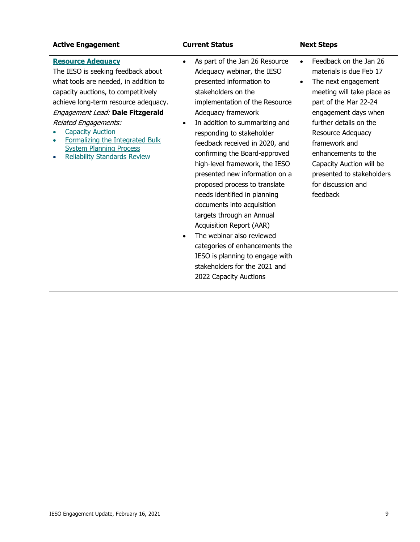### **Active Engagement Current Status Next Steps**

#### **[Resource Adequacy](http://www.ieso.ca/Sector-Participants/Engagement-Initiatives/Engagements/Resource-Adequacy-Engagement)**

The IESO is seeking feedback about what tools are needed, in addition to capacity auctions, to competitively achieve long-term resource adequacy. Engagement Lead: **Dale Fitzgerald** Related Engagements:

- **[Capacity Auction](http://www.ieso.ca/Sector-Participants/Engagement-Initiatives/Engagements/Capacity-Auction)**
- [Formalizing the Integrated Bulk](http://www.ieso.ca/Sector-Participants/Engagement-Initiatives/Engagements/Formalizing-the-Integrated-Bulk-System-Planning-Process)  [System Planning Process](http://www.ieso.ca/Sector-Participants/Engagement-Initiatives/Engagements/Formalizing-the-Integrated-Bulk-System-Planning-Process)
- [Reliability Standards Review](http://www.ieso.ca/Sector-Participants/Engagement-Initiatives/Engagements/Reliability-Standards-Review)
- As part of the Jan 26 Resource Adequacy webinar, the IESO presented information to stakeholders on the implementation of the Resource Adequacy framework
- In addition to summarizing and responding to stakeholder feedback received in 2020, and confirming the Board-approved high-level framework, the IESO presented new information on a proposed process to translate needs identified in planning documents into acquisition targets through an Annual Acquisition Report (AAR)
- The webinar also reviewed categories of enhancements the IESO is planning to engage with stakeholders for the 2021 and 2022 Capacity Auctions
- Feedback on the Jan 26 materials is due Feb 17 • The next engagement meeting will take place as part of the Mar 22-24 engagement days when further details on the Resource Adequacy framework and enhancements to the Capacity Auction will be presented to stakeholders for discussion and

feedback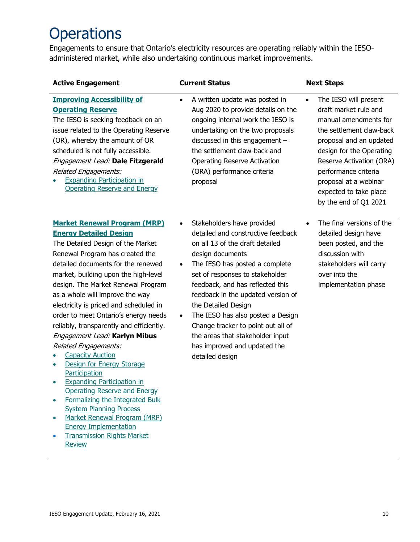## **Operations**

Engagements to ensure that Ontario's electricity resources are operating reliably within the IESOadministered market, while also undertaking continuous market improvements.

| <b>Active Engagement</b>                                                                                                                                                                                                                                                                                                                                                                                                                                                                                                                                                                                                                                                                                                                                                                                                                                | <b>Current Status</b>                                                                                                                                                                                                                                                                                                                                                                                                                                                                                  | <b>Next Steps</b>                                                                                                                                                                                                                                                                                       |
|---------------------------------------------------------------------------------------------------------------------------------------------------------------------------------------------------------------------------------------------------------------------------------------------------------------------------------------------------------------------------------------------------------------------------------------------------------------------------------------------------------------------------------------------------------------------------------------------------------------------------------------------------------------------------------------------------------------------------------------------------------------------------------------------------------------------------------------------------------|--------------------------------------------------------------------------------------------------------------------------------------------------------------------------------------------------------------------------------------------------------------------------------------------------------------------------------------------------------------------------------------------------------------------------------------------------------------------------------------------------------|---------------------------------------------------------------------------------------------------------------------------------------------------------------------------------------------------------------------------------------------------------------------------------------------------------|
| <b>Improving Accessibility of</b><br><b>Operating Reserve</b><br>The IESO is seeking feedback on an<br>issue related to the Operating Reserve<br>(OR), whereby the amount of OR<br>scheduled is not fully accessible.<br>Engagement Lead: Dale Fitzgerald<br><b>Related Engagements:</b><br><b>Expanding Participation in</b><br><b>Operating Reserve and Energy</b>                                                                                                                                                                                                                                                                                                                                                                                                                                                                                    | A written update was posted in<br>$\bullet$<br>Aug 2020 to provide details on the<br>ongoing internal work the IESO is<br>undertaking on the two proposals<br>discussed in this engagement -<br>the settlement claw-back and<br><b>Operating Reserve Activation</b><br>(ORA) performance criteria<br>proposal                                                                                                                                                                                          | The IESO will present<br>$\bullet$<br>draft market rule and<br>manual amendments for<br>the settlement claw-back<br>proposal and an updated<br>design for the Operating<br>Reserve Activation (ORA)<br>performance criteria<br>proposal at a webinar<br>expected to take place<br>by the end of Q1 2021 |
| <b>Market Renewal Program (MRP)</b><br><b>Energy Detailed Design</b><br>The Detailed Design of the Market<br>Renewal Program has created the<br>detailed documents for the renewed<br>market, building upon the high-level<br>design. The Market Renewal Program<br>as a whole will improve the way<br>electricity is priced and scheduled in<br>order to meet Ontario's energy needs<br>reliably, transparently and efficiently.<br>Engagement Lead: Karlyn Mibus<br><b>Related Engagements:</b><br><b>Capacity Auction</b><br>Design for Energy Storage<br>Participation<br><b>Expanding Participation in</b><br><b>Operating Reserve and Energy</b><br>Formalizing the Integrated Bulk<br><b>System Planning Process</b><br>Market Renewal Program (MRP)<br>$\bullet$<br><b>Energy Implementation</b><br><b>Transmission Rights Market</b><br>Review | Stakeholders have provided<br>$\bullet$<br>detailed and constructive feedback<br>on all 13 of the draft detailed<br>design documents<br>The IESO has posted a complete<br>$\bullet$<br>set of responses to stakeholder<br>feedback, and has reflected this<br>feedback in the updated version of<br>the Detailed Design<br>The IESO has also posted a Design<br>$\bullet$<br>Change tracker to point out all of<br>the areas that stakeholder input<br>has improved and updated the<br>detailed design | The final versions of the<br>$\bullet$<br>detailed design have<br>been posted, and the<br>discussion with<br>stakeholders will carry<br>over into the<br>implementation phase                                                                                                                           |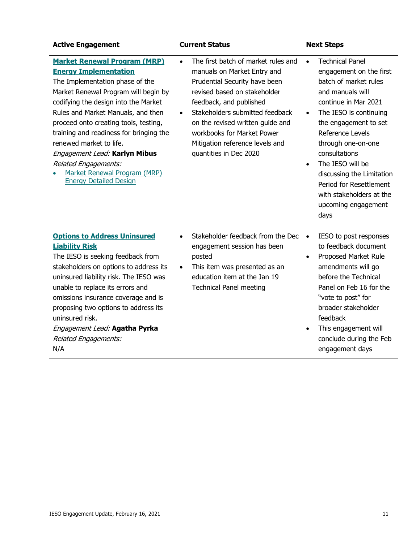| <b>Active Engagement</b>                                                                                                                                                                                                                                                                                                                                                                                                                                                     | <b>Current Status</b>                                                                                                                                                                                                                                                                                                                                      | <b>Next Steps</b>                                                                                                                                                                                                                                                                                                                                                                                                  |
|------------------------------------------------------------------------------------------------------------------------------------------------------------------------------------------------------------------------------------------------------------------------------------------------------------------------------------------------------------------------------------------------------------------------------------------------------------------------------|------------------------------------------------------------------------------------------------------------------------------------------------------------------------------------------------------------------------------------------------------------------------------------------------------------------------------------------------------------|--------------------------------------------------------------------------------------------------------------------------------------------------------------------------------------------------------------------------------------------------------------------------------------------------------------------------------------------------------------------------------------------------------------------|
| <b>Market Renewal Program (MRP)</b><br><b>Energy Implementation</b><br>The Implementation phase of the<br>Market Renewal Program will begin by<br>codifying the design into the Market<br>Rules and Market Manuals, and then<br>proceed onto creating tools, testing,<br>training and readiness for bringing the<br>renewed market to life.<br>Engagement Lead: Karlyn Mibus<br><b>Related Engagements:</b><br>Market Renewal Program (MRP)<br><b>Energy Detailed Design</b> | The first batch of market rules and<br>$\bullet$<br>manuals on Market Entry and<br>Prudential Security have been<br>revised based on stakeholder<br>feedback, and published<br>Stakeholders submitted feedback<br>$\bullet$<br>on the revised written guide and<br>workbooks for Market Power<br>Mitigation reference levels and<br>quantities in Dec 2020 | <b>Technical Panel</b><br>$\bullet$<br>engagement on the first<br>batch of market rules<br>and manuals will<br>continue in Mar 2021<br>The IESO is continuing<br>$\bullet$<br>the engagement to set<br>Reference Levels<br>through one-on-one<br>consultations<br>The IESO will be<br>$\bullet$<br>discussing the Limitation<br>Period for Resettlement<br>with stakeholders at the<br>upcoming engagement<br>days |
| <b>Options to Address Uninsured</b><br><b>Liability Risk</b><br>The IESO is seeking feedback from<br>stakeholders on options to address its<br>uninsured liability risk. The IESO was<br>unable to replace its errors and<br>omissions insurance coverage and is<br>proposing two options to address its<br>uninsured risk.<br>Engagement Lead: Agatha Pyrka<br><b>Related Engagements:</b><br>N/A                                                                           | Stakeholder feedback from the Dec<br>$\bullet$<br>engagement session has been<br>posted<br>This item was presented as an<br>$\bullet$<br>education item at the Jan 19<br><b>Technical Panel meeting</b>                                                                                                                                                    | IESO to post responses<br>$\bullet$<br>to feedback document<br>Proposed Market Rule<br>$\bullet$<br>amendments will go<br>before the Technical<br>Panel on Feb 16 for the<br>"vote to post" for<br>broader stakeholder<br>feedback<br>This engagement will<br>$\bullet$<br>conclude during the Feb<br>engagement days                                                                                              |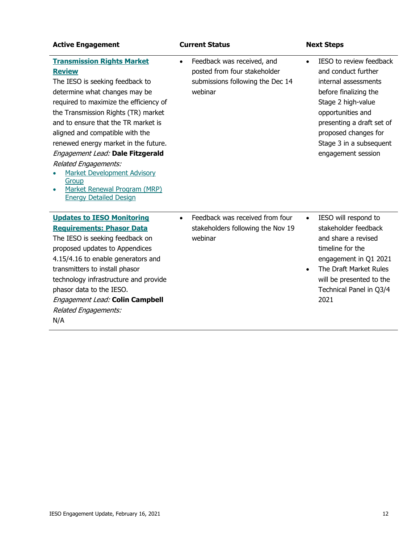| <b>Active Engagement</b>                                                                                                                                                                                                                                                                                                                                                                                                                                                                              | <b>Current Status</b>                                                                                                  | <b>Next Steps</b>                                                                                                                                                                                                                                             |
|-------------------------------------------------------------------------------------------------------------------------------------------------------------------------------------------------------------------------------------------------------------------------------------------------------------------------------------------------------------------------------------------------------------------------------------------------------------------------------------------------------|------------------------------------------------------------------------------------------------------------------------|---------------------------------------------------------------------------------------------------------------------------------------------------------------------------------------------------------------------------------------------------------------|
| <b>Transmission Rights Market</b><br><b>Review</b><br>The IESO is seeking feedback to<br>determine what changes may be<br>required to maximize the efficiency of<br>the Transmission Rights (TR) market<br>and to ensure that the TR market is<br>aligned and compatible with the<br>renewed energy market in the future.<br>Engagement Lead: Dale Fitzgerald<br>Related Engagements:<br><b>Market Development Advisory</b><br>Group<br>Market Renewal Program (MRP)<br><b>Energy Detailed Design</b> | Feedback was received, and<br>$\bullet$<br>posted from four stakeholder<br>submissions following the Dec 14<br>webinar | IESO to review feedback<br>$\bullet$<br>and conduct further<br>internal assessments<br>before finalizing the<br>Stage 2 high-value<br>opportunities and<br>presenting a draft set of<br>proposed changes for<br>Stage 3 in a subsequent<br>engagement session |
| <b>Updates to IESO Monitoring</b><br><b>Requirements: Phasor Data</b><br>The IESO is seeking feedback on<br>proposed updates to Appendices<br>4.15/4.16 to enable generators and<br>transmitters to install phasor<br>technology infrastructure and provide<br>phasor data to the IESO.<br>Engagement Lead: Colin Campbell<br>Related Engagements:<br>N/A                                                                                                                                             | Feedback was received from four<br>$\bullet$<br>stakeholders following the Nov 19<br>webinar                           | IESO will respond to<br>$\bullet$<br>stakeholder feedback<br>and share a revised<br>timeline for the<br>engagement in Q1 2021<br>The Draft Market Rules<br>$\bullet$<br>will be presented to the<br>Technical Panel in Q3/4<br>2021                           |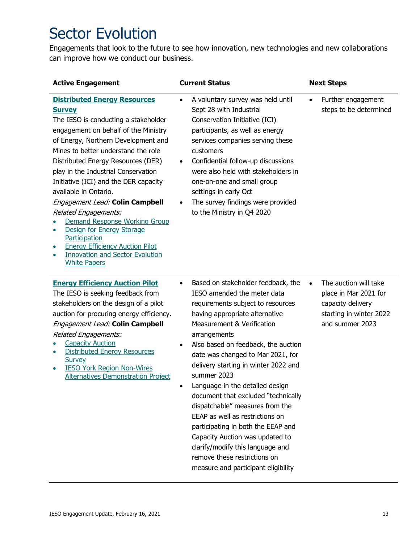## Sector Evolution

Engagements that look to the future to see how innovation, new technologies and new collaborations can improve how we conduct our business.

| <b>Active Engagement</b>                                                                                                                                                                                                                                                                                                                                                                                                                                                                                                                                                                                                                 | <b>Current Status</b>                                                                                                                                                                                                                                                                                                                                                                                                                                                                                                                                                                                                                                                                 | <b>Next Steps</b>                                                                                                              |
|------------------------------------------------------------------------------------------------------------------------------------------------------------------------------------------------------------------------------------------------------------------------------------------------------------------------------------------------------------------------------------------------------------------------------------------------------------------------------------------------------------------------------------------------------------------------------------------------------------------------------------------|---------------------------------------------------------------------------------------------------------------------------------------------------------------------------------------------------------------------------------------------------------------------------------------------------------------------------------------------------------------------------------------------------------------------------------------------------------------------------------------------------------------------------------------------------------------------------------------------------------------------------------------------------------------------------------------|--------------------------------------------------------------------------------------------------------------------------------|
| <b>Distributed Energy Resources</b><br><b>Survey</b><br>The IESO is conducting a stakeholder<br>engagement on behalf of the Ministry<br>of Energy, Northern Development and<br>Mines to better understand the role<br>Distributed Energy Resources (DER)<br>play in the Industrial Conservation<br>Initiative (ICI) and the DER capacity<br>available in Ontario.<br>Engagement Lead: Colin Campbell<br>Related Engagements:<br>Demand Response Working Group<br>Design for Energy Storage<br>$\bullet$<br>Participation<br><b>Energy Efficiency Auction Pilot</b><br><b>Innovation and Sector Evolution</b><br>۰<br><b>White Papers</b> | A voluntary survey was held until<br>$\bullet$<br>Sept 28 with Industrial<br>Conservation Initiative (ICI)<br>participants, as well as energy<br>services companies serving these<br>customers<br>Confidential follow-up discussions<br>$\bullet$<br>were also held with stakeholders in<br>one-on-one and small group<br>settings in early Oct<br>The survey findings were provided<br>$\bullet$<br>to the Ministry in Q4 2020                                                                                                                                                                                                                                                       | Further engagement<br>$\bullet$<br>steps to be determined                                                                      |
| <b>Energy Efficiency Auction Pilot</b><br>The IESO is seeking feedback from<br>stakeholders on the design of a pilot<br>auction for procuring energy efficiency.<br>Engagement Lead: Colin Campbell<br>Related Engagements:<br><b>Capacity Auction</b><br><b>Distributed Energy Resources</b><br>Survey<br><b>IESO York Region Non-Wires</b><br><b>Alternatives Demonstration Project</b>                                                                                                                                                                                                                                                | Based on stakeholder feedback, the<br>$\bullet$<br>IESO amended the meter data<br>requirements subject to resources<br>having appropriate alternative<br><b>Measurement &amp; Verification</b><br>arrangements<br>Also based on feedback, the auction<br>date was changed to Mar 2021, for<br>delivery starting in winter 2022 and<br>summer 2023<br>Language in the detailed design<br>document that excluded "technically<br>dispatchable" measures from the<br>EEAP as well as restrictions on<br>participating in both the EEAP and<br>Capacity Auction was updated to<br>clarify/modify this language and<br>remove these restrictions on<br>measure and participant eligibility | The auction will take<br>$\bullet$<br>place in Mar 2021 for<br>capacity delivery<br>starting in winter 2022<br>and summer 2023 |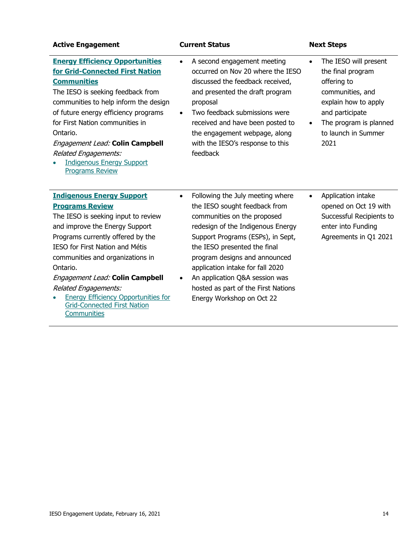| <b>Active Engagement</b>                                                                                                                                                                                                                                                                                                                                                                                                         | <b>Current Status</b>                                                                                                                                                                                                                                                                                                                                                                                           | <b>Next Steps</b>                                                                                                                                                                              |
|----------------------------------------------------------------------------------------------------------------------------------------------------------------------------------------------------------------------------------------------------------------------------------------------------------------------------------------------------------------------------------------------------------------------------------|-----------------------------------------------------------------------------------------------------------------------------------------------------------------------------------------------------------------------------------------------------------------------------------------------------------------------------------------------------------------------------------------------------------------|------------------------------------------------------------------------------------------------------------------------------------------------------------------------------------------------|
| <b>Energy Efficiency Opportunities</b><br>for Grid-Connected First Nation<br><b>Communities</b><br>The IESO is seeking feedback from<br>communities to help inform the design<br>of future energy efficiency programs<br>for First Nation communities in<br>Ontario.<br>Engagement Lead: Colin Campbell<br><b>Related Engagements:</b><br><b>Indigenous Energy Support</b><br><b>Programs Review</b>                             | A second engagement meeting<br>$\bullet$<br>occurred on Nov 20 where the IESO<br>discussed the feedback received,<br>and presented the draft program<br>proposal<br>Two feedback submissions were<br>$\bullet$<br>received and have been posted to<br>the engagement webpage, along<br>with the IESO's response to this<br>feedback                                                                             | The IESO will present<br>the final program<br>offering to<br>communities, and<br>explain how to apply<br>and participate<br>The program is planned<br>$\bullet$<br>to launch in Summer<br>2021 |
| <b>Indigenous Energy Support</b><br><b>Programs Review</b><br>The IESO is seeking input to review<br>and improve the Energy Support<br>Programs currently offered by the<br>IESO for First Nation and Métis<br>communities and organizations in<br>Ontario.<br>Engagement Lead: Colin Campbell<br><b>Related Engagements:</b><br><b>Energy Efficiency Opportunities for</b><br><b>Grid-Connected First Nation</b><br>Communities | Following the July meeting where<br>$\bullet$<br>the IESO sought feedback from<br>communities on the proposed<br>redesign of the Indigenous Energy<br>Support Programs (ESPs), in Sept,<br>the IESO presented the final<br>program designs and announced<br>application intake for fall 2020<br>An application Q&A session was<br>$\bullet$<br>hosted as part of the First Nations<br>Energy Workshop on Oct 22 | Application intake<br>$\bullet$<br>opened on Oct 19 with<br>Successful Recipients to<br>enter into Funding<br>Agreements in Q1 2021                                                            |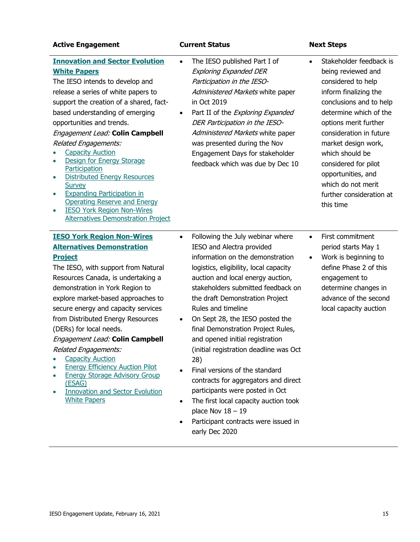| <b>Active Engagement</b>                                                                                                                                                                                                                                                                                                                                                                                                                                                                                                                                                                                                                            | <b>Current Status</b>                                                                                                                                                                                                                                                                                                                                                                                                                                                                                                                                                                                                                                                                                                      | <b>Next Steps</b>                                                                                                                                                                                                                                                                                                                                                         |
|-----------------------------------------------------------------------------------------------------------------------------------------------------------------------------------------------------------------------------------------------------------------------------------------------------------------------------------------------------------------------------------------------------------------------------------------------------------------------------------------------------------------------------------------------------------------------------------------------------------------------------------------------------|----------------------------------------------------------------------------------------------------------------------------------------------------------------------------------------------------------------------------------------------------------------------------------------------------------------------------------------------------------------------------------------------------------------------------------------------------------------------------------------------------------------------------------------------------------------------------------------------------------------------------------------------------------------------------------------------------------------------------|---------------------------------------------------------------------------------------------------------------------------------------------------------------------------------------------------------------------------------------------------------------------------------------------------------------------------------------------------------------------------|
| <b>Innovation and Sector Evolution</b><br><b>White Papers</b><br>The IESO intends to develop and<br>release a series of white papers to<br>support the creation of a shared, fact-<br>based understanding of emerging<br>opportunities and trends.<br>Engagement Lead: Colin Campbell<br><b>Related Engagements:</b><br><b>Capacity Auction</b><br>Design for Energy Storage<br>Participation<br><b>Distributed Energy Resources</b><br>$\bullet$<br>Survey<br><b>Expanding Participation in</b><br>$\bullet$<br><b>Operating Reserve and Energy</b><br><b>IESO York Region Non-Wires</b><br>$\bullet$<br><b>Alternatives Demonstration Project</b> | The IESO published Part I of<br>$\bullet$<br><b>Exploring Expanded DER</b><br>Participation in the IESO-<br>Administered Markets white paper<br>in Oct 2019<br>Part II of the Exploring Expanded<br>$\bullet$<br>DER Participation in the IESO-<br>Administered Markets white paper<br>was presented during the Nov<br>Engagement Days for stakeholder<br>feedback which was due by Dec 10                                                                                                                                                                                                                                                                                                                                 | Stakeholder feedback is<br>$\bullet$<br>being reviewed and<br>considered to help<br>inform finalizing the<br>conclusions and to help<br>determine which of the<br>options merit further<br>consideration in future<br>market design work,<br>which should be<br>considered for pilot<br>opportunities, and<br>which do not merit<br>further consideration at<br>this time |
| <b>IESO York Region Non-Wires</b><br><b>Alternatives Demonstration</b><br><b>Project</b><br>The IESO, with support from Natural<br>Resources Canada, is undertaking a<br>demonstration in York Region to<br>explore market-based approaches to<br>secure energy and capacity services<br>from Distributed Energy Resources<br>(DERs) for local needs.<br>Engagement Lead: Colin Campbell<br><b>Related Engagements:</b><br><b>Capacity Auction</b><br><b>Energy Efficiency Auction Pilot</b><br><b>Energy Storage Advisory Group</b><br>(ESAG)<br><b>Innovation and Sector Evolution</b><br><b>White Papers</b>                                     | Following the July webinar where<br>$\bullet$<br>IESO and Alectra provided<br>information on the demonstration<br>logistics, eligibility, local capacity<br>auction and local energy auction,<br>stakeholders submitted feedback on<br>the draft Demonstration Project<br>Rules and timeline<br>On Sept 28, the IESO posted the<br>$\bullet$<br>final Demonstration Project Rules,<br>and opened initial registration<br>(initial registration deadline was Oct<br>28)<br>Final versions of the standard<br>contracts for aggregators and direct<br>participants were posted in Oct<br>The first local capacity auction took<br>$\bullet$<br>place Nov $18 - 19$<br>Participant contracts were issued in<br>early Dec 2020 | First commitment<br>$\bullet$<br>period starts May 1<br>Work is beginning to<br>$\bullet$<br>define Phase 2 of this<br>engagement to<br>determine changes in<br>advance of the second<br>local capacity auction                                                                                                                                                           |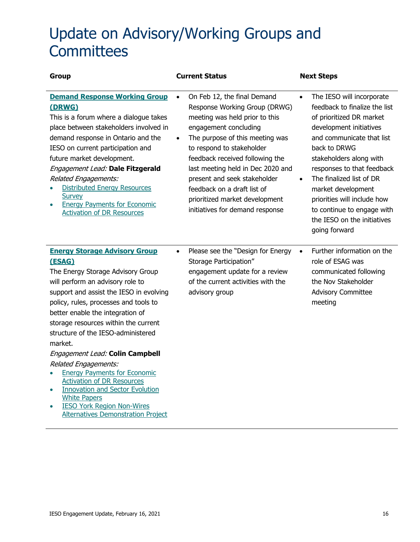## Update on Advisory/Working Groups and **Committees**

| <b>Group</b>                                                                                                                                                                                                                                                                                                                                                                                                                                                                                                                                                                                                                                    | <b>Current Status</b>                                                                                                                                                                                                                                                                                                                                                                                            | <b>Next Steps</b>                                                                                                                                                                                                                                                                                                                                                                                                |
|-------------------------------------------------------------------------------------------------------------------------------------------------------------------------------------------------------------------------------------------------------------------------------------------------------------------------------------------------------------------------------------------------------------------------------------------------------------------------------------------------------------------------------------------------------------------------------------------------------------------------------------------------|------------------------------------------------------------------------------------------------------------------------------------------------------------------------------------------------------------------------------------------------------------------------------------------------------------------------------------------------------------------------------------------------------------------|------------------------------------------------------------------------------------------------------------------------------------------------------------------------------------------------------------------------------------------------------------------------------------------------------------------------------------------------------------------------------------------------------------------|
| <b>Demand Response Working Group</b><br>(DRWG)<br>This is a forum where a dialogue takes<br>place between stakeholders involved in<br>demand response in Ontario and the<br>IESO on current participation and<br>future market development.<br>Engagement Lead: Dale Fitzgerald<br>Related Engagements:<br><b>Distributed Energy Resources</b><br>Survey<br><b>Energy Payments for Economic</b><br><b>Activation of DR Resources</b>                                                                                                                                                                                                            | On Feb 12, the final Demand<br>Response Working Group (DRWG)<br>meeting was held prior to this<br>engagement concluding<br>The purpose of this meeting was<br>$\bullet$<br>to respond to stakeholder<br>feedback received following the<br>last meeting held in Dec 2020 and<br>present and seek stakeholder<br>feedback on a draft list of<br>prioritized market development<br>initiatives for demand response | The IESO will incorporate<br>$\bullet$<br>feedback to finalize the list<br>of prioritized DR market<br>development initiatives<br>and communicate that list<br>back to DRWG<br>stakeholders along with<br>responses to that feedback<br>The finalized list of DR<br>$\bullet$<br>market development<br>priorities will include how<br>to continue to engage with<br>the IESO on the initiatives<br>going forward |
| <b>Energy Storage Advisory Group</b><br>(ESAG)<br>The Energy Storage Advisory Group<br>will perform an advisory role to<br>support and assist the IESO in evolving<br>policy, rules, processes and tools to<br>better enable the integration of<br>storage resources within the current<br>structure of the IESO-administered<br>market.<br>Engagement Lead: Colin Campbell<br>Related Engagements:<br><b>Energy Payments for Economic</b><br><b>Activation of DR Resources</b><br><b>Innovation and Sector Evolution</b><br><b>White Papers</b><br><b>IESO York Region Non-Wires</b><br>$\bullet$<br><b>Alternatives Demonstration Project</b> | Please see the "Design for Energy<br>$\bullet$<br>Storage Participation"<br>engagement update for a review<br>of the current activities with the<br>advisory group                                                                                                                                                                                                                                               | Further information on the<br>$\bullet$<br>role of ESAG was<br>communicated following<br>the Nov Stakeholder<br><b>Advisory Committee</b><br>meeting                                                                                                                                                                                                                                                             |